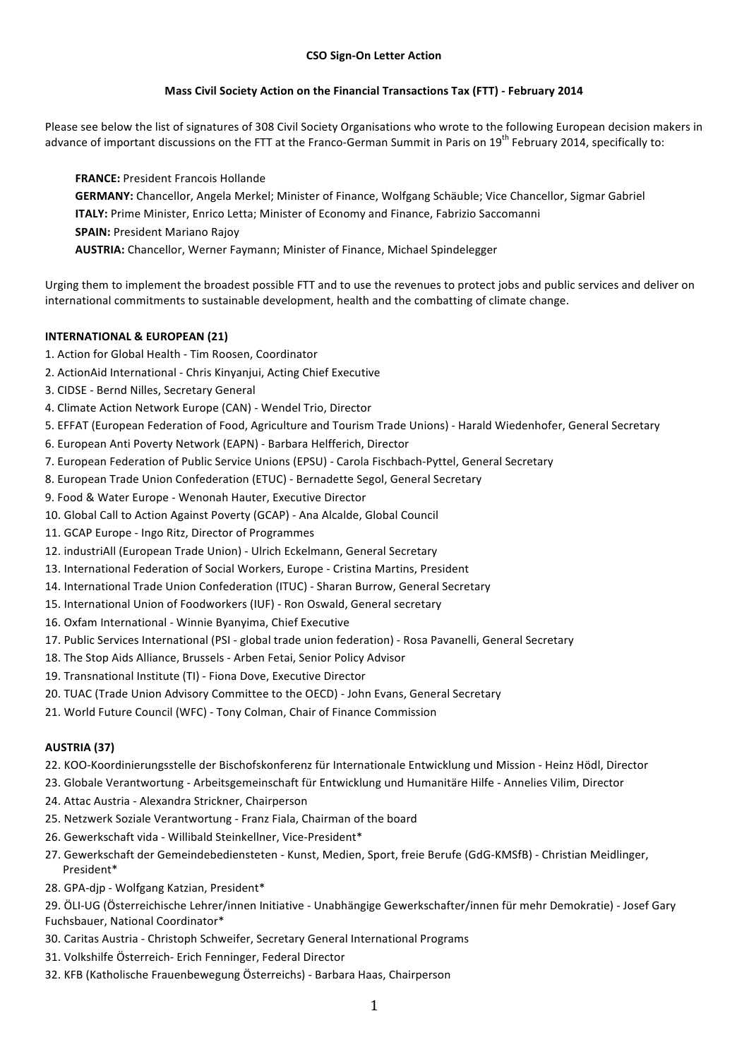# **Mass Civil Society Action on the Financial Transactions Tax (FTT) - February 2014**

Please see below the list of signatures of 308 Civil Society Organisations who wrote to the following European decision makers in advance of important discussions on the FTT at the Franco-German Summit in Paris on  $19^{th}$  February 2014, specifically to:

**FRANCE:** President Francois Hollande GERMANY: Chancellor, Angela Merkel; Minister of Finance, Wolfgang Schäuble; Vice Chancellor, Sigmar Gabriel **ITALY:** Prime Minister, Enrico Letta; Minister of Economy and Finance, Fabrizio Saccomanni **SPAIN: President Mariano Rajoy AUSTRIA:** Chancellor, Werner Faymann; Minister of Finance, Michael Spindelegger

Urging them to implement the broadest possible FTT and to use the revenues to protect jobs and public services and deliver on international commitments to sustainable development, health and the combatting of climate change.

# **INTERNATIONAL & EUROPEAN (21)**

- 1. Action for Global Health Tim Roosen, Coordinator
- 2. ActionAid International Chris Kinyanjui, Acting Chief Executive
- 3. CIDSE Bernd Nilles, Secretary General
- 4. Climate Action Network Europe (CAN) Wendel Trio, Director
- 5. EFFAT (European Federation of Food, Agriculture and Tourism Trade Unions) Harald Wiedenhofer, General Secretary
- 6. European Anti Poverty Network (EAPN) Barbara Helfferich, Director
- 7. European Federation of Public Service Unions (EPSU) Carola Fischbach-Pyttel, General Secretary
- 8. European Trade Union Confederation (ETUC) Bernadette Segol, General Secretary
- 9. Food & Water Europe Wenonah Hauter, Executive Director
- 10. Global Call to Action Against Poverty (GCAP) Ana Alcalde, Global Council
- 11. GCAP Europe Ingo Ritz, Director of Programmes
- 12. industriAll (European Trade Union) Ulrich Eckelmann, General Secretary
- 13. International Federation of Social Workers, Europe Cristina Martins, President
- 14. International Trade Union Confederation (ITUC) Sharan Burrow, General Secretary
- 15. International Union of Foodworkers (IUF) Ron Oswald, General secretary
- 16. Oxfam International Winnie Byanyima, Chief Executive
- 17. Public Services International (PSI global trade union federation) Rosa Pavanelli, General Secretary
- 18. The Stop Aids Alliance, Brussels Arben Fetai, Senior Policy Advisor
- 19. Transnational Institute (TI) Fiona Dove, Executive Director
- 20. TUAC (Trade Union Advisory Committee to the OECD) John Evans, General Secretary
- 21. World Future Council (WFC) Tony Colman, Chair of Finance Commission

# **AUSTRIA (37)**

- 22. KOO-Koordinierungsstelle der Bischofskonferenz für Internationale Entwicklung und Mission Heinz Hödl, Director
- 23. Globale Verantwortung Arbeitsgemeinschaft für Entwicklung und Humanitäre Hilfe Annelies Vilim, Director
- 24. Attac Austria Alexandra Strickner, Chairperson
- 25. Netzwerk Soziale Verantwortung Franz Fiala, Chairman of the board
- 26. Gewerkschaft vida Willibald Steinkellner, Vice-President\*
- 27. Gewerkschaft der Gemeindebediensteten Kunst, Medien, Sport, freie Berufe (GdG-KMSfB) Christian Meidlinger, President\*
- 28. GPA-djp Wolfgang Katzian, President\*

29. ÖLI-UG (Österreichische Lehrer/innen Initiative - Unabhängige Gewerkschafter/innen für mehr Demokratie) - Josef Gary Fuchsbauer, National Coordinator\*

- 30. Caritas Austria Christoph Schweifer, Secretary General International Programs
- 31. Volkshilfe Österreich- Erich Fenninger, Federal Director
- 32. KFB (Katholische Frauenbewegung Österreichs) Barbara Haas, Chairperson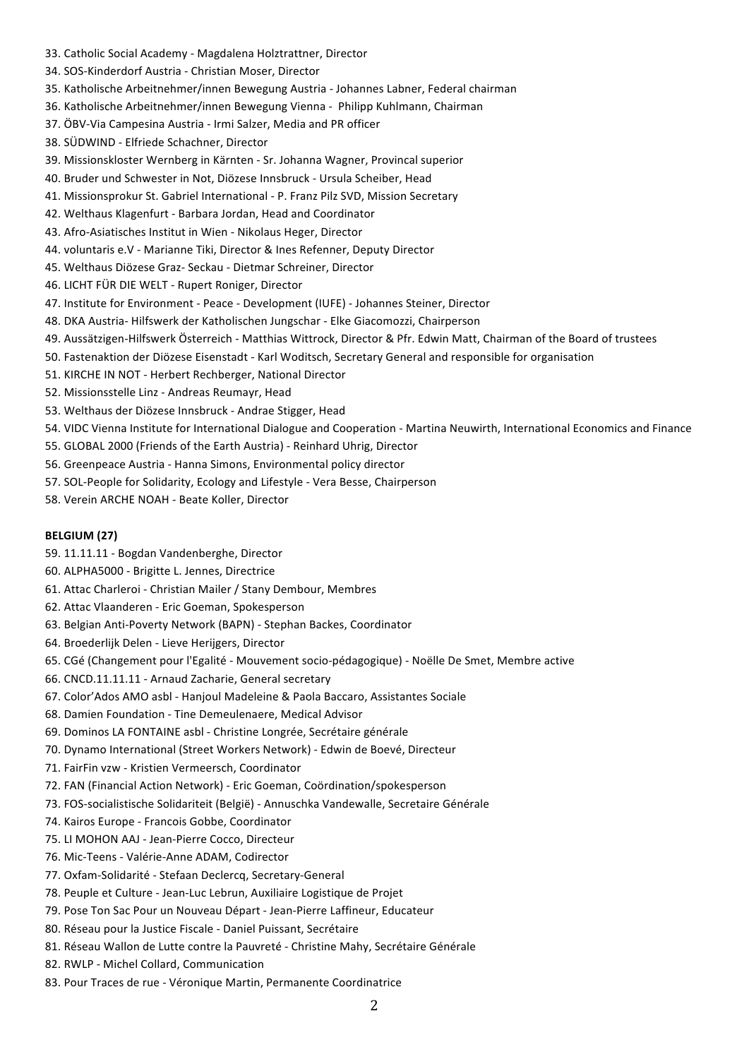- 33. Catholic Social Academy Magdalena Holztrattner, Director
- 34. SOS-Kinderdorf Austria Christian Moser, Director
- 35. Katholische Arbeitnehmer/innen Bewegung Austria Johannes Labner, Federal chairman
- 36. Katholische Arbeitnehmer/innen Bewegung Vienna Philipp Kuhlmann, Chairman
- 37. ÖBV-Via Campesina Austria Irmi Salzer, Media and PR officer
- 38. SÜDWIND Elfriede Schachner, Director
- 39. Missionskloster Wernberg in Kärnten Sr. Johanna Wagner, Provincal superior
- 40. Bruder und Schwester in Not, Diözese Innsbruck Ursula Scheiber, Head
- 41. Missionsprokur St. Gabriel International P. Franz Pilz SVD, Mission Secretary
- 42. Welthaus Klagenfurt Barbara Jordan, Head and Coordinator
- 43. Afro-Asiatisches Institut in Wien Nikolaus Heger, Director
- 44. voluntaris e.V Marianne Tiki, Director & Ines Refenner, Deputy Director
- 45. Welthaus Diözese Graz- Seckau Dietmar Schreiner, Director
- 46. LICHT FÜR DIE WELT Rupert Roniger, Director
- 47. Institute for Environment Peace Development (IUFE) Johannes Steiner, Director
- 48. DKA Austria- Hilfswerk der Katholischen Jungschar Elke Giacomozzi, Chairperson
- 49. Aussätzigen-Hilfswerk Österreich Matthias Wittrock, Director & Pfr. Edwin Matt, Chairman of the Board of trustees
- 50. Fastenaktion der Diözese Eisenstadt Karl Woditsch, Secretary General and responsible for organisation
- 51. KIRCHE IN NOT Herbert Rechberger, National Director
- 52. Missionsstelle Linz Andreas Reumayr, Head
- 53. Welthaus der Diözese Innsbruck Andrae Stigger, Head
- 54. VIDC Vienna Institute for International Dialogue and Cooperation Martina Neuwirth, International Economics and Finance
- 55. GLOBAL 2000 (Friends of the Earth Austria) Reinhard Uhrig, Director
- 56. Greenpeace Austria Hanna Simons, Environmental policy director
- 57. SOL-People for Solidarity, Ecology and Lifestyle Vera Besse, Chairperson
- 58. Verein ARCHE NOAH Beate Koller, Director

#### **BELGIUM (27)**

- 59. 11.11.11 Bogdan Vandenberghe, Director
- 60. ALPHA5000 Brigitte L. Jennes, Directrice
- 61. Attac Charleroi Christian Mailer / Stany Dembour, Membres
- 62. Attac Vlaanderen - Eric Goeman, Spokesperson
- 63. Belgian Anti-Poverty Network (BAPN) Stephan Backes, Coordinator
- 64. Broederlijk Delen - Lieve Herijgers, Director
- 65. CGé (Changement pour l'Egalité Mouvement socio-pédagogique) Noëlle De Smet, Membre active
- 66. CNCD.11.11.11 Arnaud Zacharie, General secretary
- 67. Color'Ados AMO asbl Hanjoul Madeleine & Paola Baccaro, Assistantes Sociale
- 68. Damien Foundation Tine Demeulenaere, Medical Advisor
- 69. Dominos LA FONTAINE asbl Christine Longrée, Secrétaire générale
- 70. Dynamo International (Street Workers Network) Edwin de Boevé, Directeur
- 71. FairFin vzw Kristien Vermeersch, Coordinator
- 72. FAN (Financial Action Network) Eric Goeman, Coördination/spokesperson
- 73. FOS-socialistische Solidariteit (België) Annuschka Vandewalle, Secretaire Générale
- 74. Kairos Europe Francois Gobbe, Coordinator
- 75. LI MOHON AAJ Jean-Pierre Cocco, Directeur
- 76. Mic-Teens Valérie-Anne ADAM, Codirector
- 77. Oxfam-Solidarité Stefaan Declercq, Secretary-General
- 78. Peuple et Culture Jean-Luc Lebrun, Auxiliaire Logistique de Projet
- 79. Pose Ton Sac Pour un Nouveau Départ Jean-Pierre Laffineur, Educateur
- 80. Réseau pour la Justice Fiscale Daniel Puissant, Secrétaire
- 81. Réseau Wallon de Lutte contre la Pauvreté Christine Mahy, Secrétaire Générale
- 82. RWLP Michel Collard, Communication
- 83. Pour Traces de rue Véronique Martin, Permanente Coordinatrice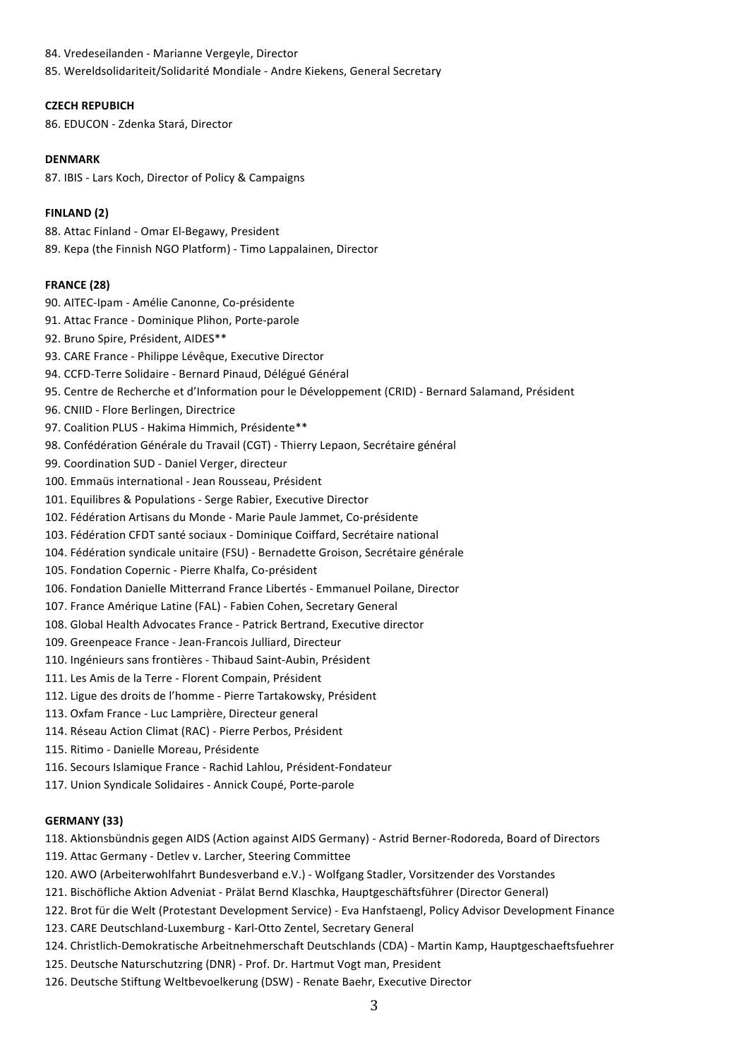84. Vredeseilanden - Marianne Vergeyle, Director 85. Wereldsolidariteit/Solidarité Mondiale - Andre Kiekens, General Secretary

# **CZECH REPUBICH**

86. EDUCON - Zdenka Stará, Director

### **DENMARK**

87. IBIS - Lars Koch, Director of Policy & Campaigns

# **FINLAND (2)**

88. Attac Finland - Omar El-Begawy, President 89. Kepa (the Finnish NGO Platform) - Timo Lappalainen, Director

### **FRANCE (28)**

- 90. AITEC-Ipam Amélie Canonne, Co-présidente
- 91. Attac France Dominique Plihon, Porte-parole
- 92. Bruno Spire, Président, AIDES\*\*
- 93. CARE France Philippe Lévêque, Executive Director
- 94. CCFD-Terre Solidaire Bernard Pinaud, Délégué Général
- 95. Centre de Recherche et d'Information pour le Développement (CRID) Bernard Salamand, Président
- 96. CNIID Flore Berlingen, Directrice
- 97. Coalition PLUS Hakima Himmich, Présidente\*\*
- 98. Confédération Générale du Travail (CGT) Thierry Lepaon, Secrétaire général
- 99. Coordination SUD Daniel Verger, directeur
- 100. Emmaüs international Jean Rousseau, Président
- 101. Equilibres & Populations Serge Rabier, Executive Director
- 102. Fédération Artisans du Monde Marie Paule Jammet, Co-présidente
- 103. Fédération CFDT santé sociaux Dominique Coiffard, Secrétaire national
- 104. Fédération syndicale unitaire (FSU) Bernadette Groison, Secrétaire générale
- 105. Fondation Copernic Pierre Khalfa, Co-président
- 106. Fondation Danielle Mitterrand France Libertés Emmanuel Poilane, Director
- 107. France Amérique Latine (FAL) Fabien Cohen, Secretary General
- 108. Global Health Advocates France Patrick Bertrand, Executive director
- 109. Greenpeace France Jean-Francois Julliard, Directeur
- 110. Ingénieurs sans frontières Thibaud Saint-Aubin, Président
- 111. Les Amis de la Terre Florent Compain, Président
- 112. Ligue des droits de l'homme Pierre Tartakowsky, Président
- 113. Oxfam France Luc Lamprière, Directeur general
- 114. Réseau Action Climat (RAC) Pierre Perbos, Président
- 115. Ritimo Danielle Moreau, Présidente
- 116. Secours Islamique France Rachid Lahlou, Président-Fondateur
- 117. Union Syndicale Solidaires Annick Coupé, Porte-parole

### **GERMANY (33)**

118. Aktionsbündnis gegen AIDS (Action against AIDS Germany) - Astrid Berner-Rodoreda, Board of Directors

- 119. Attac Germany Detlev v. Larcher, Steering Committee
- 120. AWO (Arbeiterwohlfahrt Bundesverband e.V.) Wolfgang Stadler, Vorsitzender des Vorstandes
- 121. Bischöfliche Aktion Adveniat Prälat Bernd Klaschka, Hauptgeschäftsführer (Director General)
- 122. Brot für die Welt (Protestant Development Service) Eva Hanfstaengl, Policy Advisor Development Finance
- 123. CARE Deutschland-Luxemburg Karl-Otto Zentel, Secretary General
- 124. Christlich-Demokratische Arbeitnehmerschaft Deutschlands (CDA) Martin Kamp, Hauptgeschaeftsfuehrer
- 125. Deutsche Naturschutzring (DNR) Prof. Dr. Hartmut Vogt man, President
- 126. Deutsche Stiftung Weltbevoelkerung (DSW) Renate Baehr, Executive Director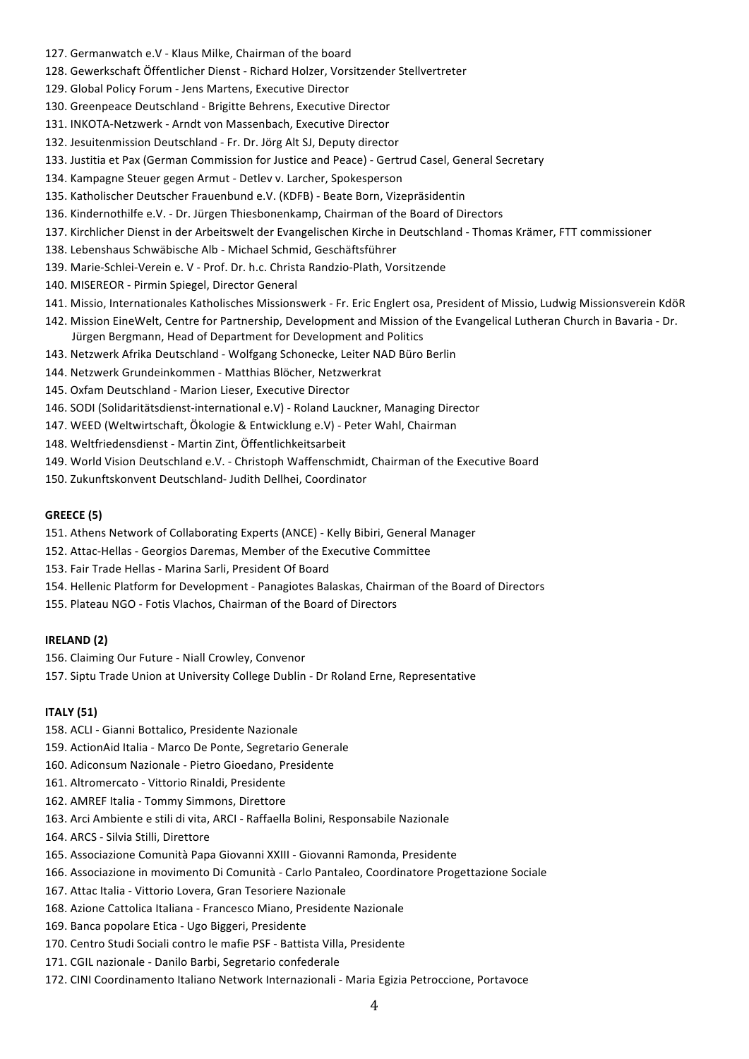- 127. Germanwatch e.V Klaus Milke, Chairman of the board
- 128. Gewerkschaft Öffentlicher Dienst Richard Holzer, Vorsitzender Stellvertreter
- 129. Global Policy Forum Jens Martens, Executive Director
- 130. Greenpeace Deutschland Brigitte Behrens, Executive Director
- 131. INKOTA-Netzwerk Arndt von Massenbach, Executive Director
- 132. Jesuitenmission Deutschland Fr. Dr. Jörg Alt SJ, Deputy director
- 133. Justitia et Pax (German Commission for Justice and Peace) Gertrud Casel, General Secretary
- 134. Kampagne Steuer gegen Armut Detlev v. Larcher, Spokesperson
- 135. Katholischer Deutscher Frauenbund e.V. (KDFB) Beate Born, Vizepräsidentin
- 136. Kindernothilfe e.V. Dr. Jürgen Thiesbonenkamp, Chairman of the Board of Directors
- 137. Kirchlicher Dienst in der Arbeitswelt der Evangelischen Kirche in Deutschland Thomas Krämer, FTT commissioner
- 138. Lebenshaus Schwäbische Alb Michael Schmid, Geschäftsführer
- 139. Marie-Schlei-Verein e. V Prof. Dr. h.c. Christa Randzio-Plath, Vorsitzende
- 140. MISEREOR Pirmin Spiegel, Director General
- 141. Missio, Internationales Katholisches Missionswerk Fr. Eric Englert osa, President of Missio, Ludwig Missionsverein KdöR
- 142. Mission EineWelt, Centre for Partnership, Development and Mission of the Evangelical Lutheran Church in Bavaria Dr. Jürgen Bergmann, Head of Department for Development and Politics
- 143. Netzwerk Afrika Deutschland Wolfgang Schonecke, Leiter NAD Büro Berlin
- 144. Netzwerk Grundeinkommen Matthias Blöcher, Netzwerkrat
- 145. Oxfam Deutschland Marion Lieser, Executive Director
- 146. SODI (Solidaritätsdienst-international e.V) Roland Lauckner, Managing Director
- 147. WEED (Weltwirtschaft, Ökologie & Entwicklung e.V) Peter Wahl, Chairman
- 148. Weltfriedensdienst Martin Zint, Öffentlichkeitsarbeit
- 149. World Vision Deutschland e.V. Christoph Waffenschmidt, Chairman of the Executive Board
- 150. Zukunftskonvent Deutschland- Judith Dellhei, Coordinator

#### **GREECE (5)**

- 151. Athens Network of Collaborating Experts (ANCE) Kelly Bibiri, General Manager
- 152. Attac-Hellas Georgios Daremas, Member of the Executive Committee
- 153. Fair Trade Hellas Marina Sarli, President Of Board
- 154. Hellenic Platform for Development Panagiotes Balaskas, Chairman of the Board of Directors
- 155. Plateau NGO Fotis Vlachos, Chairman of the Board of Directors

### **IRELAND (2)**

156. Claiming Our Future - Niall Crowley, Convenor

157. Siptu Trade Union at University College Dublin - Dr Roland Erne, Representative

### **ITALY (51)**

- 158. ACLI Gianni Bottalico, Presidente Nazionale
- 159. ActionAid Italia Marco De Ponte, Segretario Generale
- 160. Adiconsum Nazionale Pietro Gioedano, Presidente
- 161. Altromercato Vittorio Rinaldi, Presidente
- 162. AMREF Italia Tommy Simmons, Direttore
- 163. Arci Ambiente e stili di vita, ARCI Raffaella Bolini, Responsabile Nazionale
- 164. ARCS Silvia Stilli, Direttore
- 165. Associazione Comunità Papa Giovanni XXIII Giovanni Ramonda, Presidente
- 166. Associazione in movimento Di Comunità Carlo Pantaleo, Coordinatore Progettazione Sociale
- 167. Attac Italia Vittorio Lovera, Gran Tesoriere Nazionale
- 168. Azione Cattolica Italiana Francesco Miano, Presidente Nazionale
- 169. Banca popolare Etica Ugo Biggeri, Presidente
- 170. Centro Studi Sociali contro le mafie PSF Battista Villa, Presidente
- 171. CGIL nazionale Danilo Barbi, Segretario confederale
- 172. CINI Coordinamento Italiano Network Internazionali Maria Egizia Petroccione, Portavoce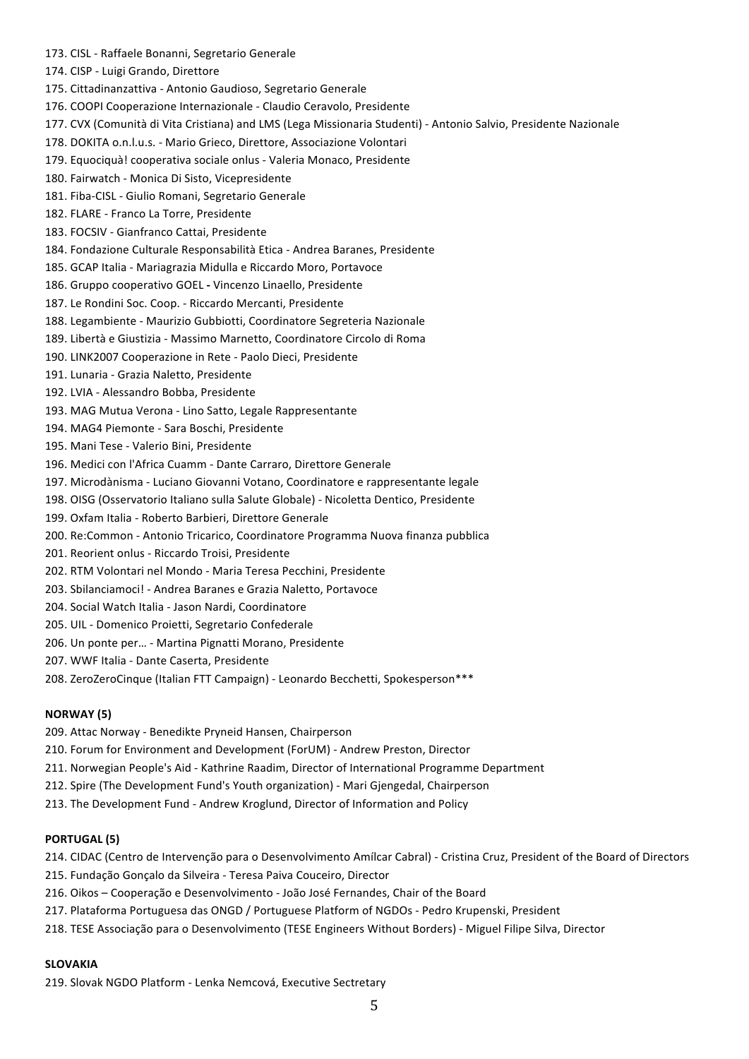- 173. CISL Raffaele Bonanni, Segretario Generale
- 174. CISP Luigi Grando, Direttore
- 175. Cittadinanzattiva Antonio Gaudioso, Segretario Generale
- 176. COOPI Cooperazione Internazionale Claudio Ceravolo, Presidente
- 177. CVX (Comunità di Vita Cristiana) and LMS (Lega Missionaria Studenti) Antonio Salvio, Presidente Nazionale
- 178. DOKITA o.n.l.u.s. Mario Grieco, Direttore, Associazione Volontari
- 179. Equociquà! cooperativa sociale onlus Valeria Monaco, Presidente
- 180. Fairwatch Monica Di Sisto, Vicepresidente
- 181. Fiba-CISL Giulio Romani, Segretario Generale
- 182. FLARE Franco La Torre, Presidente
- 183. FOCSIV Gianfranco Cattai, Presidente
- 184. Fondazione Culturale Responsabilità Etica Andrea Baranes, Presidente
- 185. GCAP Italia Mariagrazia Midulla e Riccardo Moro, Portavoce
- 186. Gruppo cooperativo GOEL Vincenzo Linaello, Presidente
- 187. Le Rondini Soc. Coop. Riccardo Mercanti, Presidente
- 188. Legambiente Maurizio Gubbiotti, Coordinatore Segreteria Nazionale
- 189. Libertà e Giustizia - Massimo Marnetto, Coordinatore Circolo di Roma
- 190. LINK2007 Cooperazione in Rete Paolo Dieci, Presidente
- 191. Lunaria Grazia Naletto, Presidente
- 192. LVIA Alessandro Bobba, Presidente
- 193. MAG Mutua Verona Lino Satto, Legale Rappresentante
- 194. MAG4 Piemonte Sara Boschi, Presidente
- 195. Mani Tese Valerio Bini, Presidente
- 196. Medici con l'Africa Cuamm Dante Carraro, Direttore Generale
- 197. Microdànisma Luciano Giovanni Votano, Coordinatore e rappresentante legale
- 198. OISG (Osservatorio Italiano sulla Salute Globale) Nicoletta Dentico, Presidente
- 199. Oxfam Italia Roberto Barbieri, Direttore Generale
- 200. Re:Common Antonio Tricarico, Coordinatore Programma Nuova finanza pubblica
- 201. Reorient onlus Riccardo Troisi, Presidente
- 202. RTM Volontari nel Mondo Maria Teresa Pecchini, Presidente
- 203. Sbilanciamoci! Andrea Baranes e Grazia Naletto, Portavoce
- 204. Social Watch Italia Jason Nardi, Coordinatore
- 205. UIL Domenico Proietti, Segretario Confederale
- 206. Un ponte per... Martina Pignatti Morano, Presidente
- 207. WWF Italia Dante Caserta, Presidente
- 208. ZeroZeroCinque (Italian FTT Campaign) Leonardo Becchetti, Spokesperson\*\*\*

#### **NORWAY (5)**

- 209. Attac Norway Benedikte Pryneid Hansen, Chairperson
- 210. Forum for Environment and Development (ForUM) Andrew Preston, Director
- 211. Norwegian People's Aid Kathrine Raadim, Director of International Programme Department
- 212. Spire (The Development Fund's Youth organization) Mari Gjengedal, Chairperson
- 213. The Development Fund Andrew Kroglund, Director of Information and Policy

#### **PORTUGAL** (5)

- 214. CIDAC (Centro de Intervenção para o Desenvolvimento Amílcar Cabral) Cristina Cruz, President of the Board of Directors
- 215. Fundação Gonçalo da Silveira Teresa Paiva Couceiro, Director
- 216. Oikos Cooperação e Desenvolvimento João José Fernandes, Chair of the Board
- 217. Plataforma Portuguesa das ONGD / Portuguese Platform of NGDOs Pedro Krupenski, President
- 218. TESE Associação para o Desenvolvimento (TESE Engineers Without Borders) Miguel Filipe Silva, Director

#### **SLOVAKIA**

219. Slovak NGDO Platform - Lenka Nemcová, Executive Sectretary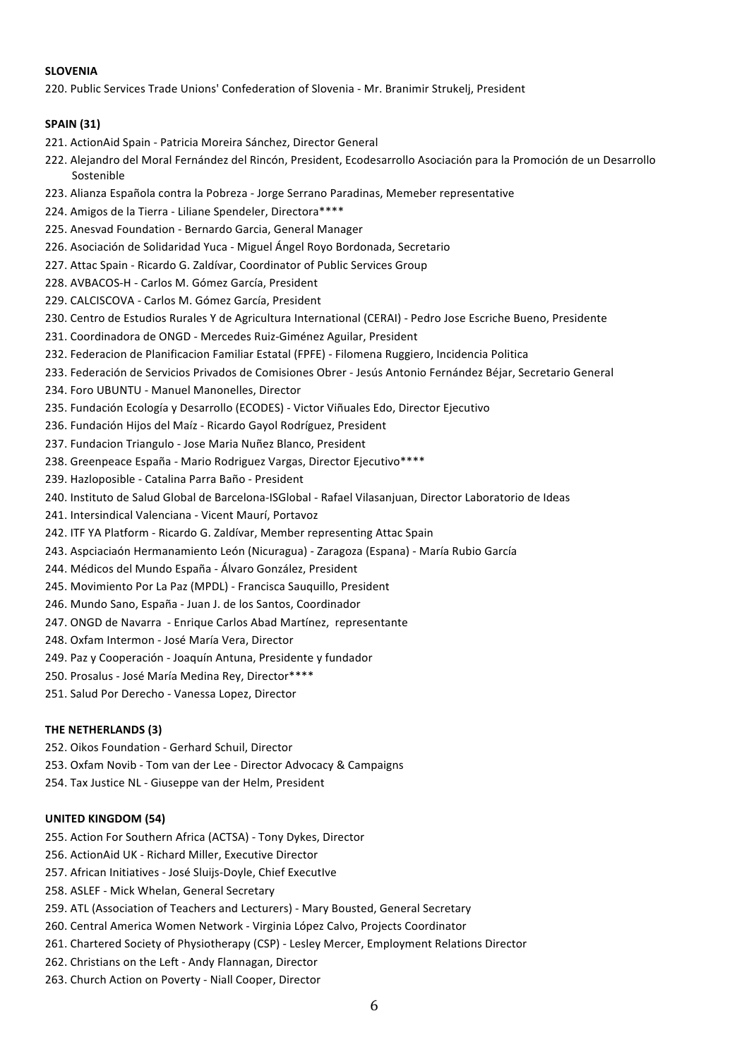# **SLOVENIA**

220. Public Services Trade Unions' Confederation of Slovenia - Mr. Branimir Strukelj, President

# **SPAIN (31)**

- 221. ActionAid Spain Patricia Moreira Sánchez, Director General
- 222. Alejandro del Moral Fernández del Rincón, President, Ecodesarrollo Asociación para la Promoción de un Desarrollo **Sostenible**
- 223. Alianza Española contra la Pobreza Jorge Serrano Paradinas, Memeber representative
- 224. Amigos de la Tierra Liliane Spendeler, Directora\*\*\*\*
- 225. Anesvad Foundation Bernardo Garcia, General Manager
- 226. Asociación de Solidaridad Yuca Miguel Ángel Royo Bordonada, Secretario
- 227. Attac Spain Ricardo G. Zaldívar, Coordinator of Public Services Group
- 228. AVBACOS-H Carlos M. Gómez García, President
- 229. CALCISCOVA Carlos M. Gómez García, President
- 230. Centro de Estudios Rurales Y de Agricultura International (CERAI) Pedro Jose Escriche Bueno, Presidente
- 231. Coordinadora de ONGD Mercedes Ruiz-Giménez Aguilar, President
- 232. Federacion de Planificacion Familiar Estatal (FPFE) Filomena Ruggiero, Incidencia Politica
- 233. Federación de Servicios Privados de Comisiones Obrer Jesús Antonio Fernández Béjar, Secretario General
- 234. Foro UBUNTU Manuel Manonelles, Director
- 235. Fundación Ecología y Desarrollo (ECODES) Victor Viñuales Edo, Director Ejecutivo
- 236. Fundación Hijos del Maíz Ricardo Gayol Rodríguez, President
- 237. Fundacion Triangulo Jose Maria Nuñez Blanco, President
- 238. Greenpeace España Mario Rodriguez Vargas, Director Ejecutivo\*\*\*\*
- 239. Hazloposible Catalina Parra Baño President
- 240. Instituto de Salud Global de Barcelona-ISGlobal Rafael Vilasanjuan, Director Laboratorio de Ideas
- 241. Intersindical Valenciana Vicent Maurí, Portavoz
- 242. ITF YA Platform Ricardo G. Zaldívar, Member representing Attac Spain
- 243. Aspciaciaón Hermanamiento León (Nicuragua) Zaragoza (Espana) María Rubio García
- 244. Médicos del Mundo España Álvaro González, President
- 245. Movimiento Por La Paz (MPDL) Francisca Sauguillo, President
- 246. Mundo Sano, España Juan J. de los Santos, Coordinador
- 247. ONGD de Navarra Enrique Carlos Abad Martínez, representante
- 248. Oxfam Intermon José María Vera, Director
- 249. Paz y Cooperación Joaquín Antuna, Presidente y fundador
- 250. Prosalus José María Medina Rey, Director\*\*\*\*
- 251. Salud Por Derecho Vanessa Lopez, Director

# **THE NETHERLANDS (3)**

- 252. Oikos Foundation Gerhard Schuil, Director
- 253. Oxfam Novib Tom van der Lee Director Advocacy & Campaigns
- 254. Tax Justice NL Giuseppe van der Helm, President

### **UNITED KINGDOM (54)**

- 255. Action For Southern Africa (ACTSA) Tony Dykes, Director
- 256. ActionAid UK Richard Miller, Executive Director
- 257. African Initiatives José Sluijs-Doyle, Chief ExecutIve
- 258. ASLEF Mick Whelan, General Secretary
- 259. ATL (Association of Teachers and Lecturers) Mary Bousted, General Secretary
- 260. Central America Women Network Virginia López Calvo, Projects Coordinator
- 261. Chartered Society of Physiotherapy (CSP) Lesley Mercer, Employment Relations Director
- 262. Christians on the Left Andy Flannagan, Director
- 263. Church Action on Poverty Niall Cooper, Director